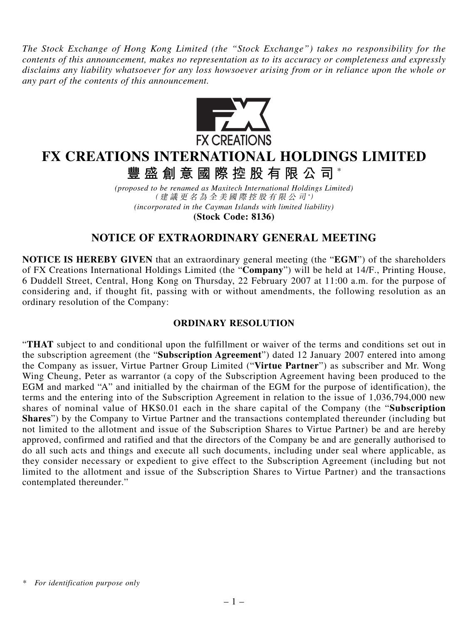*The Stock Exchange of Hong Kong Limited (the "Stock Exchange") takes no responsibility for the contents of this announcement, makes no representation as to its accuracy or completeness and expressly disclaims any liability whatsoever for any loss howsoever arising from or in reliance upon the whole or any part of the contents of this announcement.*



# **FX CREATIONS INTERNATIONAL HOLDINGS LIMITED**

**豐盛創意國際控股有限公司** \*

*(proposed to be renamed as Maxitech International Holdings Limited)* (建議更名為全美國際控股有限公司 *\** ) *(incorporated in the Cayman Islands with limited liability)* **(Stock Code: 8136)**

## **NOTICE OF EXTRAORDINARY GENERAL MEETING**

**NOTICE IS HEREBY GIVEN** that an extraordinary general meeting (the "**EGM**") of the shareholders of FX Creations International Holdings Limited (the "**Company**") will be held at 14/F., Printing House, 6 Duddell Street, Central, Hong Kong on Thursday, 22 February 2007 at 11:00 a.m. for the purpose of considering and, if thought fit, passing with or without amendments, the following resolution as an ordinary resolution of the Company:

### **ORDINARY RESOLUTION**

"**THAT** subject to and conditional upon the fulfillment or waiver of the terms and conditions set out in the subscription agreement (the "**Subscription Agreement**") dated 12 January 2007 entered into among the Company as issuer, Virtue Partner Group Limited ("**Virtue Partner**") as subscriber and Mr. Wong Wing Cheung, Peter as warrantor (a copy of the Subscription Agreement having been produced to the EGM and marked "A" and initialled by the chairman of the EGM for the purpose of identification), the terms and the entering into of the Subscription Agreement in relation to the issue of 1,036,794,000 new shares of nominal value of HK\$0.01 each in the share capital of the Company (the "**Subscription Shares**") by the Company to Virtue Partner and the transactions contemplated thereunder (including but not limited to the allotment and issue of the Subscription Shares to Virtue Partner) be and are hereby approved, confirmed and ratified and that the directors of the Company be and are generally authorised to do all such acts and things and execute all such documents, including under seal where applicable, as they consider necessary or expedient to give effect to the Subscription Agreement (including but not limited to the allotment and issue of the Subscription Shares to Virtue Partner) and the transactions contemplated thereunder."

*<sup>\*</sup> For identification purpose only*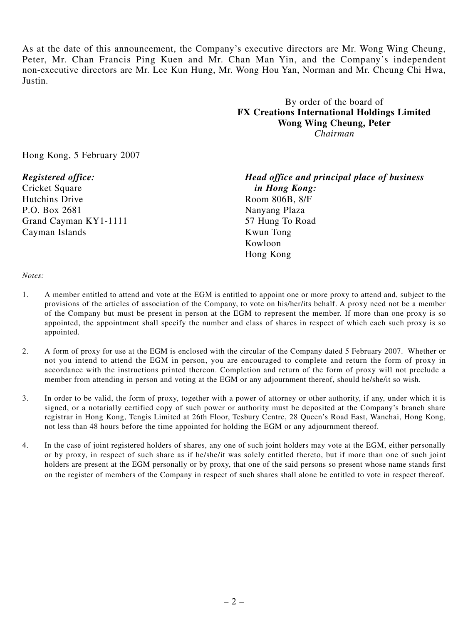As at the date of this announcement, the Company's executive directors are Mr. Wong Wing Cheung, Peter, Mr. Chan Francis Ping Kuen and Mr. Chan Man Yin, and the Company's independent non-executive directors are Mr. Lee Kun Hung, Mr. Wong Hou Yan, Norman and Mr. Cheung Chi Hwa, Justin.

> By order of the board of **FX Creations International Holdings Limited Wong Wing Cheung, Peter** *Chairman*

Hong Kong, 5 February 2007

Cricket Square *in Hong Kong:* Hutchins Drive Room 806B, 8/F P.O. Box 2681 Nanyang Plaza Grand Cayman KY1-1111 57 Hung To Road Cayman Islands Kwun Tong

*Registered office: Head office and principal place of business* Kowloon Hong Kong

#### *Notes:*

- 1. A member entitled to attend and vote at the EGM is entitled to appoint one or more proxy to attend and, subject to the provisions of the articles of association of the Company, to vote on his/her/its behalf. A proxy need not be a member of the Company but must be present in person at the EGM to represent the member. If more than one proxy is so appointed, the appointment shall specify the number and class of shares in respect of which each such proxy is so appointed.
- 2. A form of proxy for use at the EGM is enclosed with the circular of the Company dated 5 February 2007. Whether or not you intend to attend the EGM in person, you are encouraged to complete and return the form of proxy in accordance with the instructions printed thereon. Completion and return of the form of proxy will not preclude a member from attending in person and voting at the EGM or any adjournment thereof, should he/she/it so wish.
- 3. In order to be valid, the form of proxy, together with a power of attorney or other authority, if any, under which it is signed, or a notarially certified copy of such power or authority must be deposited at the Company's branch share registrar in Hong Kong, Tengis Limited at 26th Floor, Tesbury Centre, 28 Queen's Road East, Wanchai, Hong Kong, not less than 48 hours before the time appointed for holding the EGM or any adjournment thereof.
- 4. In the case of joint registered holders of shares, any one of such joint holders may vote at the EGM, either personally or by proxy, in respect of such share as if he/she/it was solely entitled thereto, but if more than one of such joint holders are present at the EGM personally or by proxy, that one of the said persons so present whose name stands first on the register of members of the Company in respect of such shares shall alone be entitled to vote in respect thereof.